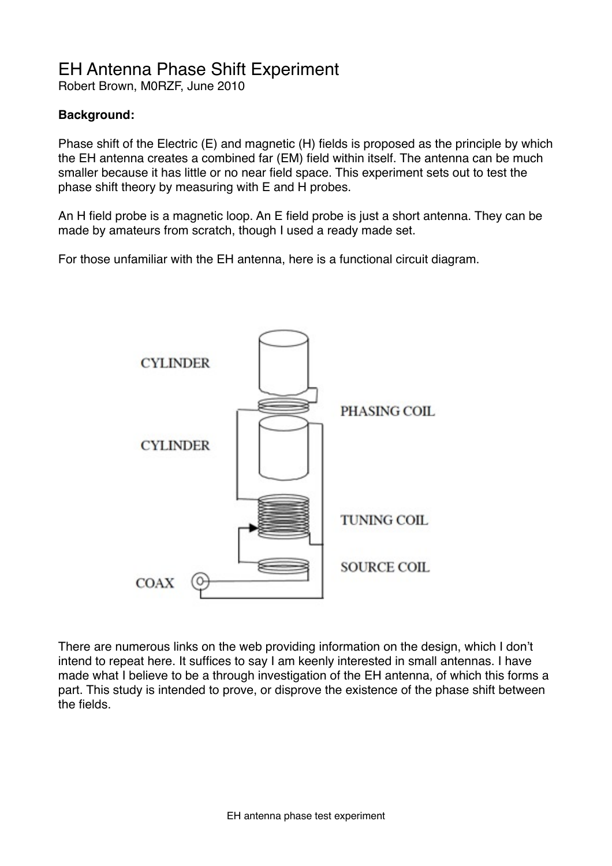# EH Antenna Phase Shift Experiment

Robert Brown, M0RZF, June 2010

## **Background:**

Phase shift of the Electric (E) and magnetic (H) fields is proposed as the principle by which the EH antenna creates a combined far (EM) field within itself. The antenna can be much smaller because it has little or no near field space. This experiment sets out to test the phase shift theory by measuring with E and H probes.

An H field probe is a magnetic loop. An E field probe is just a short antenna. They can be made by amateurs from scratch, though I used a ready made set.

For those unfamiliar with the EH antenna, here is a functional circuit diagram.



There are numerous links on the web providing information on the design, which I don't intend to repeat here. It suffices to say I am keenly interested in small antennas. I have made what I believe to be a through investigation of the EH antenna, of which this forms a part. This study is intended to prove, or disprove the existence of the phase shift between the fields.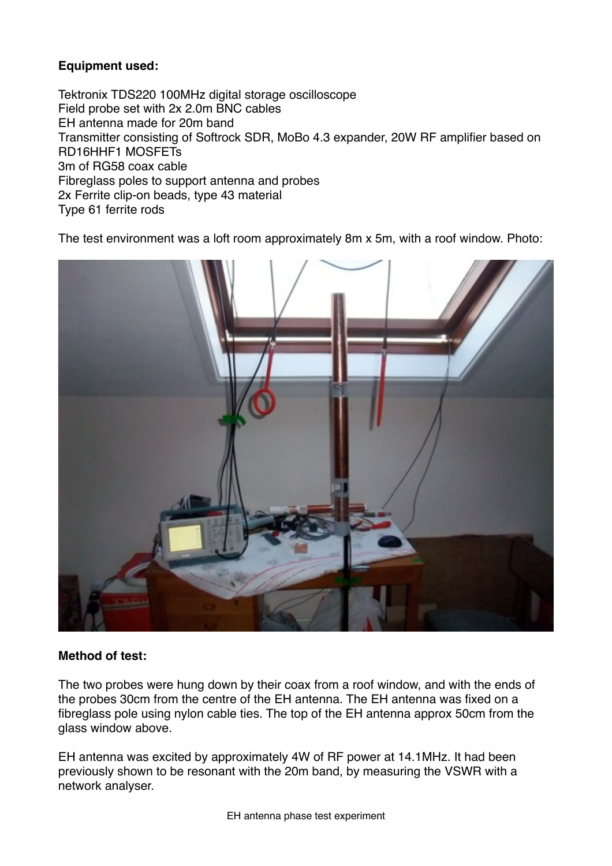# **Equipment used:**

Tektronix TDS220 100MHz digital storage oscilloscope Field probe set with 2x 2.0m BNC cables EH antenna made for 20m band Transmitter consisting of Softrock SDR, MoBo 4.3 expander, 20W RF amplifier based on RD16HHF1 MOSFETs 3m of RG58 coax cable Fibreglass poles to support antenna and probes 2x Ferrite clip-on beads, type 43 material Type 61 ferrite rods

The test environment was a loft room approximately 8m x 5m, with a roof window. Photo:



# **Method of test:**

The two probes were hung down by their coax from a roof window, and with the ends of the probes 30cm from the centre of the EH antenna. The EH antenna was fixed on a fibreglass pole using nylon cable ties. The top of the EH antenna approx 50cm from the glass window above.

EH antenna was excited by approximately 4W of RF power at 14.1MHz. It had been previously shown to be resonant with the 20m band, by measuring the VSWR with a network analyser.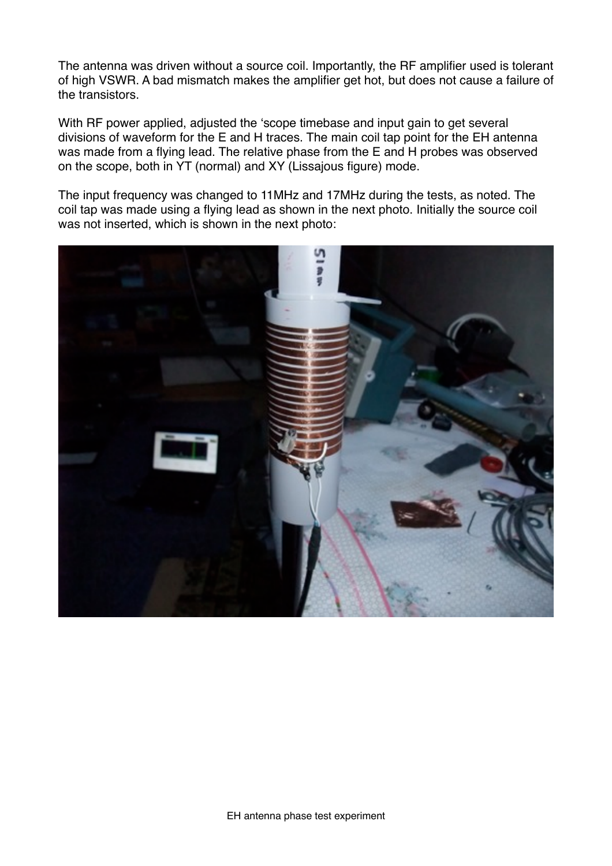The antenna was driven without a source coil. Importantly, the RF amplifier used is tolerant of high VSWR. A bad mismatch makes the amplifier get hot, but does not cause a failure of the transistors.

With RF power applied, adjusted the ʻscope timebase and input gain to get several divisions of waveform for the E and H traces. The main coil tap point for the EH antenna was made from a flying lead. The relative phase from the E and H probes was observed on the scope, both in YT (normal) and XY (Lissajous figure) mode.

The input frequency was changed to 11MHz and 17MHz during the tests, as noted. The coil tap was made using a flying lead as shown in the next photo. Initially the source coil was not inserted, which is shown in the next photo:

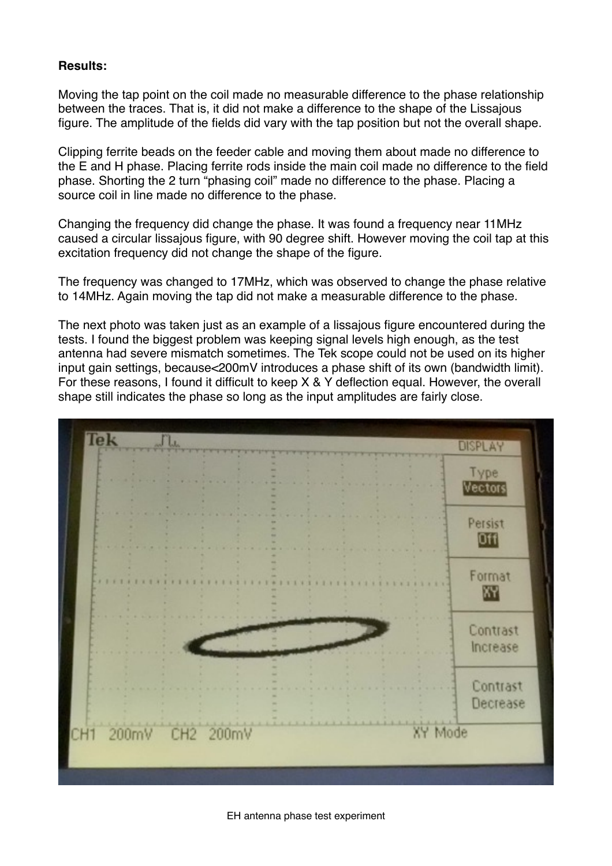## **Results:**

Moving the tap point on the coil made no measurable difference to the phase relationship between the traces. That is, it did not make a difference to the shape of the Lissajous figure. The amplitude of the fields did vary with the tap position but not the overall shape.

Clipping ferrite beads on the feeder cable and moving them about made no difference to the E and H phase. Placing ferrite rods inside the main coil made no difference to the field phase. Shorting the 2 turn "phasing coil" made no difference to the phase. Placing a source coil in line made no difference to the phase.

Changing the frequency did change the phase. It was found a frequency near 11MHz caused a circular lissajous figure, with 90 degree shift. However moving the coil tap at this excitation frequency did not change the shape of the figure.

The frequency was changed to 17MHz, which was observed to change the phase relative to 14MHz. Again moving the tap did not make a measurable difference to the phase.

The next photo was taken just as an example of a lissajous figure encountered during the tests. I found the biggest problem was keeping signal levels high enough, as the test antenna had severe mismatch sometimes. The Tek scope could not be used on its higher input gain settings, because<200mV introduces a phase shift of its own (bandwidth limit). For these reasons, I found it difficult to keep X & Y deflection equal. However, the overall shape still indicates the phase so long as the input amplitudes are fairly close.